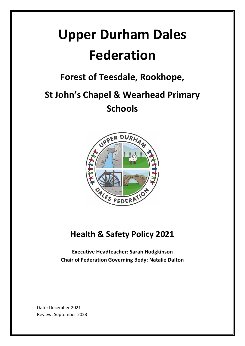# **Upper Durham Dales Federation**

**Forest of Teesdale, Rookhope,** 

## **St John's Chapel & Wearhead Primary Schools**



### **Health & Safety Policy 2021**

**Executive Headteacher: Sarah Hodgkinson Chair of Federation Governing Body: Natalie Dalton**

Date: December 2021 Review: September 2023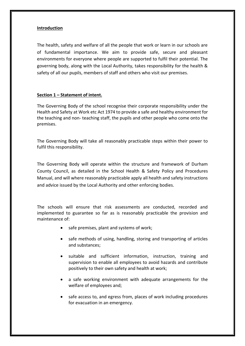#### **Introduction**

The health, safety and welfare of all the people that work or learn in our schools are of fundamental importance. We aim to provide safe, secure and pleasant environments for everyone where people are supported to fulfil their potential. The governing body, along with the Local Authority, takes responsibility for the health & safety of all our pupils, members of staff and others who visit our premises.

#### **Section 1 – Statement of intent.**

The Governing Body of the school recognise their corporate responsibility under the Health and Safety at Work etc Act 1974 to provide a safe and healthy environment for the teaching and non- teaching staff, the pupils and other people who come onto the premises.

The Governing Body will take all reasonably practicable steps within their power to fulfil this responsibility.

The Governing Body will operate within the structure and framework of Durham County Council, as detailed in the School Health & Safety Policy and Procedures Manual, and will where reasonably practicable apply all health and safety instructions and advice issued by the Local Authority and other enforcing bodies.

The schools will ensure that risk assessments are conducted, recorded and implemented to guarantee so far as is reasonably practicable the provision and maintenance of:

- safe premises, plant and systems of work;
- safe methods of using, handling, storing and transporting of articles and substances;
- suitable and sufficient information, instruction, training and supervision to enable all employees to avoid hazards and contribute positively to their own safety and health at work;
- a safe working environment with adequate arrangements for the welfare of employees and;
- safe access to, and egress from, places of work including procedures for evacuation in an emergency.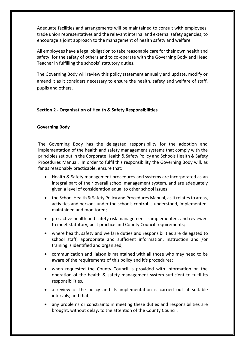Adequate facilities and arrangements will be maintained to consult with employees, trade union representatives and the relevant internal and external safety agencies, to encourage a joint approach to the management of health safety and welfare.

All employees have a legal obligation to take reasonable care for their own health and safety, for the safety of others and to co-operate with the Governing Body and Head Teacher in fulfilling the schools' statutory duties.

The Governing Body will review this policy statement annually and update, modify or amend it as it considers necessary to ensure the health, safety and welfare of staff, pupils and others.

#### **Section 2 - Organisation of Health & Safety Responsibilities**

#### **Governing Body**

The Governing Body has the delegated responsibility for the adoption and implementation of the health and safety management systems that comply with the principles set out in the Corporate Health & Safety Policy and Schools Health & Safety Procedures Manual. In order to fulfil this responsibility the Governing Body will, as far as reasonably practicable, ensure that:

- Health & Safety management procedures and systems are incorporated as an integral part of their overall school management system, and are adequately given a level of consideration equal to other school issues;
- the School Health & Safety Policy and Procedures Manual, as it relates to areas, activities and persons under the schools control is understood, implemented, maintained and monitored;
- pro-active health and safety risk management is implemented, and reviewed to meet statutory, best practice and County Council requirements;
- where health, safety and welfare duties and responsibilities are delegated to school staff, appropriate and sufficient information, instruction and /or training is identified and organised;
- communication and liaison is maintained with all those who may need to be aware of the requirements of this policy and it's procedures;
- when requested the County Council is provided with information on the operation of the health & safety management system sufficient to fulfil its responsibilities,
- a review of the policy and its implementation is carried out at suitable intervals; and that,
- any problems or constraints in meeting these duties and responsibilities are brought, without delay, to the attention of the County Council.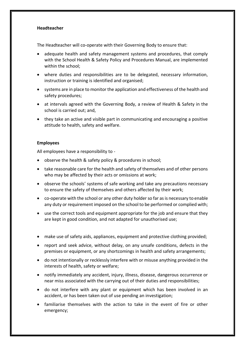#### **Headteacher**

The Headteacher will co-operate with their Governing Body to ensure that:

- adequate health and safety management systems and procedures, that comply with the School Health & Safety Policy and Procedures Manual, are implemented within the school;
- where duties and responsibilities are to be delegated, necessary information, instruction or training is identified and organised;
- systems are in place to monitor the application and effectiveness of the health and safety procedures;
- at intervals agreed with the Governing Body, a review of Health & Safety in the school is carried out; and,
- they take an active and visible part in communicating and encouraging a positive attitude to health, safety and welfare.

#### **Employees**

All employees have a responsibility to -

- observe the health & safety policy & procedures in school;
- take reasonable care for the health and safety of themselves and of other persons who may be affected by their acts or omissions at work;
- observe the schools' systems of safe working and take any precautions necessary to ensure the safety of themselves and others affected by their work;
- co-operate with the school or any other duty holder so far as is necessary to enable any duty or requirement imposed on the school to be performed or complied with;
- use the correct tools and equipment appropriate for the job and ensure that they are kept in good condition, and not adapted for unauthorised use;
- make use of safety aids, appliances, equipment and protective clothing provided;
- report and seek advice, without delay, on any unsafe conditions, defects in the premises or equipment, or any shortcomings in health and safety arrangements;
- do not intentionally or recklessly interfere with or misuse anything provided in the interests of health, safety or welfare;
- notify immediately any accident, injury, illness, disease, dangerous occurrence or near miss associated with the carrying out of their duties and responsibilities;
- do not interfere with any plant or equipment which has been involved in an accident, or has been taken out of use pending an investigation;
- familiarise themselves with the action to take in the event of fire or other emergency;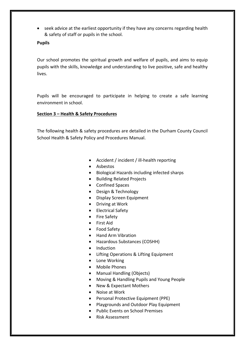• seek advice at the earliest opportunity if they have any concerns regarding health & safety of staff or pupils in the school.

#### **Pupils**

Our school promotes the spiritual growth and welfare of pupils, and aims to equip pupils with the skills, knowledge and understanding to live positive, safe and healthy lives.

Pupils will be encouraged to participate in helping to create a safe learning environment in school.

#### **Section 3 – Health & Safety Procedures**

The following health & safety procedures are detailed in the Durham County Council School Health & Safety Policy and Procedures Manual.

- Accident / incident / ill-health reporting
- Asbestos
- Biological Hazards including infected sharps
- Building Related Projects
- Confined Spaces
- Design & Technology
- Display Screen Equipment
- Driving at Work
- Electrical Safety
- Fire Safety
- First Aid
- Food Safety
- Hand Arm Vibration
- Hazardous Substances (COSHH)
- Induction
- Lifting Operations & Lifting Equipment
- Lone Working
- Mobile Phones
- Manual Handling (Objects)
- Moving & Handling Pupils and Young People
- New & Expectant Mothers
- Noise at Work
- Personal Protective Equipment (PPE)
- Playgrounds and Outdoor Play Equipment
- Public Events on School Premises
- Risk Assessment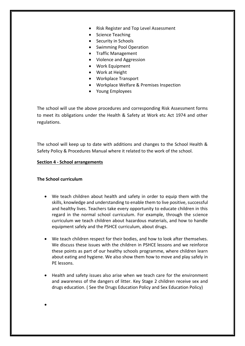- Risk Register and Top Level Assessment
- Science Teaching
- Security in Schools
- Swimming Pool Operation
- Traffic Management
- Violence and Aggression
- Work Equipment
- Work at Height
- Workplace Transport
- Workplace Welfare & Premises Inspection
- Young Employees

The school will use the above procedures and corresponding Risk Assessment forms to meet its obligations under the Health & Safety at Work etc Act 1974 and other regulations.

The school will keep up to date with additions and changes to the School Health & Safety Policy & Procedures Manual where it related to the work of the school.

#### **Section 4 - School arrangements**

#### **The School curriculum**

•

- We teach children about health and safety in order to equip them with the skills, knowledge and understanding to enable them to live positive, successful and healthy lives. Teachers take every opportunity to educate children in this regard in the normal school curriculum. For example, through the science curriculum we teach children about hazardous materials, and how to handle equipment safely and the PSHCE curriculum, about drugs.
- We teach children respect for their bodies, and how to look after themselves. We discuss these issues with the children in PSHCE lessons and we reinforce these points as part of our healthy schools programme, where children learn about eating and hygiene. We also show them how to move and play safely in PE lessons.
- Health and safety issues also arise when we teach care for the environment and awareness of the dangers of litter. Key Stage 2 children receive sex and drugs education. ( See the Drugs Education Policy and Sex Education Policy)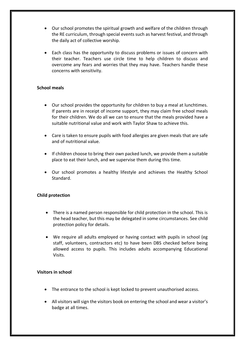- Our school promotes the spiritual growth and welfare of the children through the RE curriculum, through special events such as harvest festival, and through the daily act of collective worship.
- Each class has the opportunity to discuss problems or issues of concern with their teacher. Teachers use circle time to help children to discuss and overcome any fears and worries that they may have. Teachers handle these concerns with sensitivity.

#### **School meals**

- Our school provides the opportunity for children to buy a meal at lunchtimes. If parents are in receipt of income support, they may claim free school meals for their children. We do all we can to ensure that the meals provided have a suitable nutritional value and work with Taylor Shaw to achieve this.
- Care is taken to ensure pupils with food allergies are given meals that are safe and of nutritional value.
- If children choose to bring their own packed lunch, we provide them a suitable place to eat their lunch, and we supervise them during this time.
- Our school promotes a healthy lifestyle and achieves the Healthy School Standard.

#### **Child protection**

- There is a named person responsible for child protection in the school. This is the head teacher, but this may be delegated in some circumstances. See child protection policy for details.
- We require all adults employed or having contact with pupils in school (eg staff, volunteers, contractors etc) to have been DBS checked before being allowed access to pupils. This includes adults accompanying Educational Visits.

#### **Visitors in school**

- The entrance to the school is kept locked to prevent unauthorised access.
- All visitors will sign the visitors book on entering the school and wear a visitor's badge at all times.